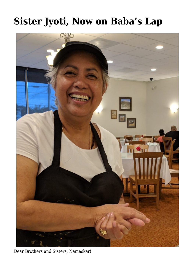## **[Sister Jyoti, Now on Baba's Lap](https://crimsondawn.net/sister-jyoti-now-on-babas-lap/)**



Dear Brothers and Sisters, Namaskar!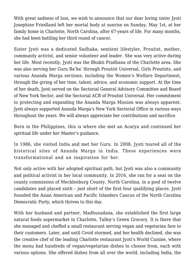With great sadness of loss, we wish to announce that our dear loving sister Jyoti Josephine Friedland left her mortal body at sunrise on Sunday, May 1st, at her family home in Charlotte, North Carolina, after 67-years of life. For many months, she had been battling her third round of cancer.

Sister Jyoti was a dedicated Sadhaka, sentient lifestyler, Proutist, mother, community activist, and senior volunteer and leader. She was very active during her life. Most recently, Jyoti was the Bhukti Pradhana of the Charlotte area. She was also serving her Guru Ba'ba' through Proutist Universal, Girls Proutists, and various Ananda Marga sections, including the Women's Welfare Department, through the giving of her time, talent, advice, and economic support. At the time of her death, Jyoti served on the Sectorial General Advisory Committee and Board of New York Sector, and the Sectorial ACB of Proutist Universal. Her commitment to protecting and expanding the Ananda Marga Mission was always apparent. Jyoti always supported Ananda Marga's New York Sectorial Office in various ways throughout the years. We will always appreciate her contributions and sacrifice.

Born in the Philippines, this is where she met an Acarya and continued her spiritual life under her Master's guidance.

In 1986, she visited India and met her Guru. In 2008, Jyoti toured all of the historical sites of Ananda Marga in India. These experiences were transformational and an inspiration for her.

Not only active with her adopted spiritual path, but Jyoti was also a community and political activist in her local community. In 2016, she ran for a seat on the county commission of Mecklenburg County, North Carolina, in a pool of twelve candidates and placed sixth – just short of the first four qualifying places. Jyoti founded the Asian American and Pacific Islanders Caucus of the North Carolina Democratic Party, which thrives to this day.

With her husband and partner, Madhusudana, she established the first large natural foods supermarket in Charlotte, Talley's Green Grocery. It is there that she managed and cheffed a small restaurant serving vegan and vegetarian fare to their customers. Later, and until Covid stormed, and her health declined, she was the creative chef of the leading Charlotte restaurant Jyoti's World Cuisine, where the menu had hundreds of vegan/vegetarian dishes to choose from, each with various options. She offered dishes from all over the world, including India, the